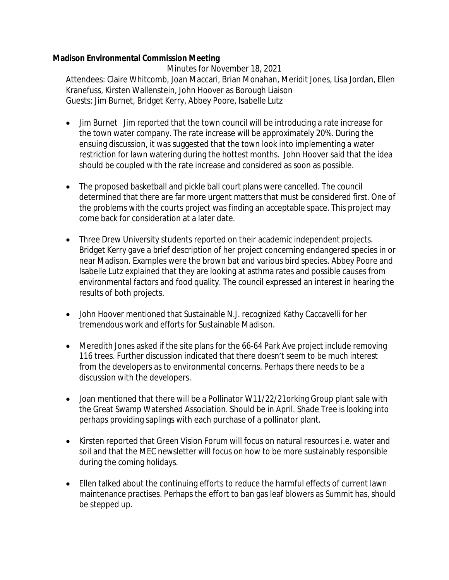## **Madison Environmental Commission Meeting**

Minutes for November 18, 2021 Attendees: Claire Whitcomb, Joan Maccari, Brian Monahan, Meridit Jones, Lisa Jordan, Ellen Kranefuss, Kirsten Wallenstein, John Hoover as Borough Liaison Guests: Jim Burnet, Bridget Kerry, Abbey Poore, Isabelle Lutz

- · Jim Burnet Jim reported that the town council will be introducing a rate increase for the town water company. The rate increase will be approximately 20%. During the ensuing discussion, it was suggested that the town look into implementing a water restriction for lawn watering during the hottest months. John Hoover said that the idea should be coupled with the rate increase and considered as soon as possible.
- · The proposed basketball and pickle ball court plans were cancelled. The council determined that there are far more urgent matters that must be considered first. One of the problems with the courts project was finding an acceptable space. This project may come back for consideration at a later date.
- · Three Drew University students reported on their academic independent projects. Bridget Kerry gave a brief description of her project concerning endangered species in or near Madison. Examples were the brown bat and various bird species. Abbey Poore and Isabelle Lutz explained that they are looking at asthma rates and possible causes from environmental factors and food quality. The council expressed an interest in hearing the results of both projects.
- · John Hoover mentioned that Sustainable N.J. recognized Kathy Caccavelli for her tremendous work and efforts for Sustainable Madison.
- · Meredith Jones asked if the site plans for the 66-64 Park Ave project include removing 116 trees. Further discussion indicated that there doesn't seem to be much interest from the developers as to environmental concerns. Perhaps there needs to be a discussion with the developers.
- Joan mentioned that there will be a Pollinator W11/22/21 orking Group plant sale with the Great Swamp Watershed Association. Should be in April. Shade Tree is looking into perhaps providing saplings with each purchase of a pollinator plant.
- · Kirsten reported that Green Vision Forum will focus on natural resources i.e. water and soil and that the MEC newsletter will focus on how to be more sustainably responsible during the coming holidays.
- · Ellen talked about the continuing efforts to reduce the harmful effects of current lawn maintenance practises. Perhaps the effort to ban gas leaf blowers as Summit has, should be stepped up.